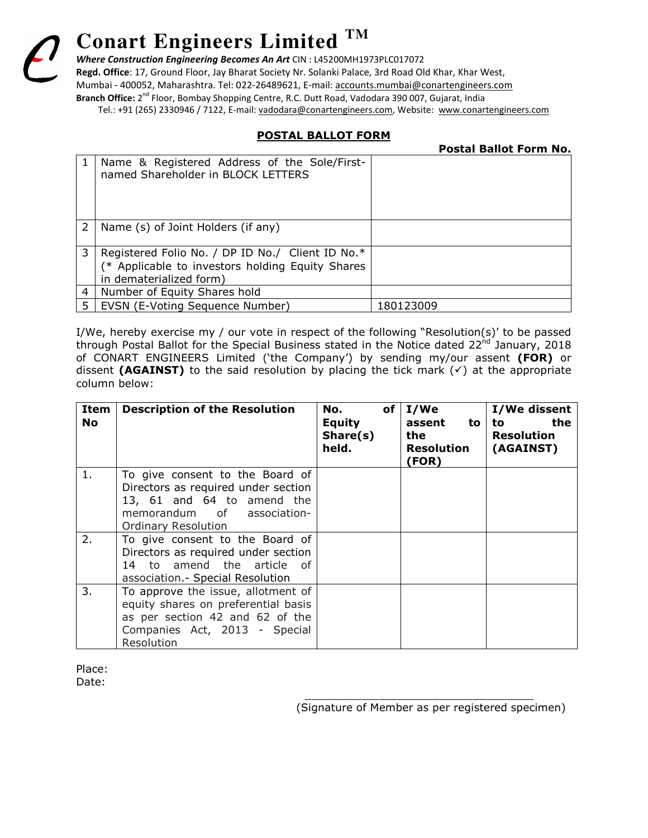# **Conart Engineers Limited TM**

*Where Construction Engineering Becomes An Art* CIN : L45200MH1973PLC017072

**Regd. Office**: 17, Ground Floor, Jay Bharat Society Nr. Solanki Palace, 3rd Road Old Khar, Khar West, Mumbai - 400052, Maharashtra. Tel: 022-26489621, E-mail: accounts.mumbai@conartengineers.com **Branch Office:** 2nd Floor, Bombay Shopping Centre, R.C. Dutt Road, Vadodara 390 007, Gujarat, India

Tel.: +91 (265) 2330946 / 7122, E-mail: vadodara@conartengineers.com, Website: www.conartengineers.com

## **POSTAL BALLOT FORM**

**Postal Ballot Form No.** 

|               | Name & Registered Address of the Sole/First-<br>named Shareholder in BLOCK LETTERS                                              |           |
|---------------|---------------------------------------------------------------------------------------------------------------------------------|-----------|
|               |                                                                                                                                 |           |
| $\mathcal{P}$ | Name (s) of Joint Holders (if any)                                                                                              |           |
| 3             | Registered Folio No. / DP ID No./ Client ID No.*<br>(* Applicable to investors holding Equity Shares<br>in dematerialized form) |           |
| 4             | Number of Equity Shares hold                                                                                                    |           |
|               | EVSN (E-Voting Sequence Number)                                                                                                 | 180123009 |

I/We, hereby exercise my / our vote in respect of the following "Resolution(s)' to be passed through Postal Ballot for the Special Business stated in the Notice dated 22<sup>nd</sup> January, 2018 of CONART ENGINEERS Limited ('the Company') by sending my/our assent **(FOR)** or dissent **(AGAINST)** to the said resolution by placing the tick mark  $(\checkmark)$  at the appropriate column below:

| Item<br><b>No</b> | <b>Description of the Resolution</b>                              | No.<br><b>Equity</b><br>Share(s)<br>held. | of $ I/We $<br>assent<br>to<br>the<br><b>Resolution</b><br>(FOR) | I/We dissent<br>the<br>to<br><b>Resolution</b><br>(AGAINST) |
|-------------------|-------------------------------------------------------------------|-------------------------------------------|------------------------------------------------------------------|-------------------------------------------------------------|
| 1.                | To give consent to the Board of                                   |                                           |                                                                  |                                                             |
|                   | Directors as required under section<br>13, 61 and 64 to amend the |                                           |                                                                  |                                                             |
|                   | memorandum of association-                                        |                                           |                                                                  |                                                             |
|                   | <b>Ordinary Resolution</b>                                        |                                           |                                                                  |                                                             |
| 2.                | To give consent to the Board of                                   |                                           |                                                                  |                                                             |
|                   | Directors as required under section                               |                                           |                                                                  |                                                             |
|                   | 14 to amend the article of<br>association - Special Resolution    |                                           |                                                                  |                                                             |
| 3.                | To approve the issue, allotment of                                |                                           |                                                                  |                                                             |
|                   | equity shares on preferential basis                               |                                           |                                                                  |                                                             |
|                   | as per section 42 and 62 of the                                   |                                           |                                                                  |                                                             |
|                   | Companies Act, 2013 - Special                                     |                                           |                                                                  |                                                             |
|                   | Resolution                                                        |                                           |                                                                  |                                                             |

 $\frac{1}{\sqrt{2}}$  ,  $\frac{1}{\sqrt{2}}$  ,  $\frac{1}{\sqrt{2}}$  ,  $\frac{1}{\sqrt{2}}$  ,  $\frac{1}{\sqrt{2}}$  ,  $\frac{1}{\sqrt{2}}$  ,  $\frac{1}{\sqrt{2}}$  ,  $\frac{1}{\sqrt{2}}$  ,  $\frac{1}{\sqrt{2}}$  ,  $\frac{1}{\sqrt{2}}$  ,  $\frac{1}{\sqrt{2}}$  ,  $\frac{1}{\sqrt{2}}$  ,  $\frac{1}{\sqrt{2}}$  ,  $\frac{1}{\sqrt{2}}$  ,  $\frac{1}{\sqrt{2}}$ 

Place: Date:

(Signature of Member as per registered specimen)